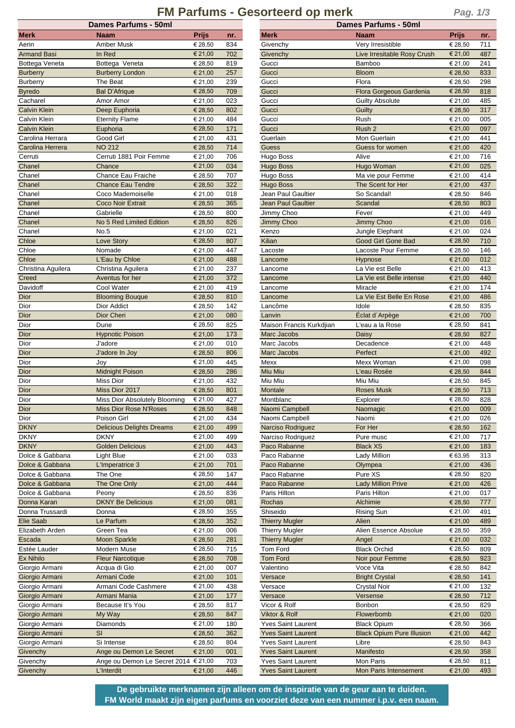## **Dames Parfums - 50ml Dames Parfums - 50ml FM Parfums - Gesorteerd op merk**

|--|--|--|

| <b>Dames Parfums - 50ml</b> |                                                     |                    |            | <b>Dames Parfums - 50ml</b>                            |                                    |                             |                                 |  |
|-----------------------------|-----------------------------------------------------|--------------------|------------|--------------------------------------------------------|------------------------------------|-----------------------------|---------------------------------|--|
| <b>Merk</b>                 | <b>Naam</b>                                         | <b>Prijs</b>       | nr.        | <b>Merk</b>                                            | Naam                               | <b>Prijs</b>                | nr.                             |  |
| Aerin                       | Amber Musk                                          | € 28,50            | 834        | Givenchy                                               | Very Irresistible                  | € 28,50                     | 71 <sup>1</sup>                 |  |
| <b>Armand Basi</b>          | In Red                                              | € 21,00            | 702        | Givenchy                                               | Live Irresitable Rosy Crush        | € 21,00                     | 487                             |  |
| Bottega Veneta              | Bottega Veneta                                      | € 28,50            | 819        | Gucci                                                  | Bamboo                             | € 21,00                     | 24 <sup>°</sup>                 |  |
| <b>Burberry</b>             | <b>Burberry London</b>                              | € 21,00            | 257        | Gucci                                                  | <b>Bloom</b>                       | € 28.50                     | 833                             |  |
| <b>Burberry</b>             | The Beat                                            | € 21,00            | 239        | Gucci                                                  | Flora                              | € 28,50                     | 298                             |  |
| <b>Byredo</b>               | <b>Bal D'Afrique</b>                                | € 28,50            | 709        | Gucci                                                  | Flora Gorgeous Gardenia            | € 28,50                     | 818                             |  |
| Cacharel                    | Amor Amor                                           | € 21,00            | 023        | Gucci                                                  | <b>Guilty Absolute</b>             | € 21,00                     | 485                             |  |
| <b>Calvin Klein</b>         | Deep Euphoria                                       | € 28,50            | 802        | Gucci                                                  | Guilty                             | € 28,50                     | 317                             |  |
| Calvin Klein                | <b>Eternity Flame</b>                               | € 21,00            | 484        | Gucci                                                  | Rush                               | € 21,00                     | 005                             |  |
| <b>Calvin Klein</b>         | Euphoria                                            | € 28,50            | 171        | Gucci                                                  | Rush 2                             | € 21,00                     | 097                             |  |
| Carolina Herrara            | Good Girl                                           | € 21,00            | 431        | Guerlain                                               | Mon Guerlain                       | € 21,00                     | 44 <sup>°</sup>                 |  |
| Carolina Herrera            | <b>NO 212</b>                                       | € 28,50            | 714        | Guess                                                  | Guess for women                    | € 21,00                     | 420                             |  |
| Cerruti                     | Cerruti 1881 Poir Femme                             | € 21,00            | 706        | Hugo Boss                                              | Alive                              | € 21,00                     | 716                             |  |
| Chanel                      | Chance                                              | € 21,00            | 034        | <b>Hugo Boss</b>                                       | Hugo Woman                         | € 21,00                     | 025                             |  |
| Chanel                      | Chance Eau Fraiche                                  | € 28,50            | 707        | Hugo Boss                                              | Ma vie pour Femme                  | € 21,00                     | 41 <sub>4</sub>                 |  |
| Chanel                      | <b>Chance Eau Tendre</b>                            | € 28,50            | 322        | <b>Hugo Boss</b>                                       | The Scent for Her                  | € 21,00                     | 437                             |  |
| Chanel<br>Chanel            | Coco Mademoiselle                                   | € 21,00            | 018        | Jean Paul Gaultier<br>Jean Paul Gaultier               | So Scandal!                        | € 28,50                     | 846                             |  |
| Chanel                      | Coco Noir Extrait                                   | € 28,50<br>€ 28,50 | 365        |                                                        | Scandal                            | € 28,50<br>€ 21,00          | 803<br>449                      |  |
|                             | Gabrielle<br>No 5 Red Limited Edition               | € 28,50            | 800<br>826 | Jimmy Choo<br>Jimmy Choo                               | Fever<br>Jimmy Choo                | € 21,00                     | 016                             |  |
| Chanel<br>Chanel            | No.5                                                | € 21,00            | 021        | Kenzo                                                  | Jungle Elephant                    | € 21,00                     | 024                             |  |
| Chloe                       | Love Story                                          | € 28,50            | 807        | Kilian                                                 | <b>Good Girl Gone Bad</b>          | € 28,50                     | 710                             |  |
| Chloe                       | Nomade                                              | € 21,00            | 447        | Lacoste                                                | Lacoste Pour Femme                 | € 28,50                     | 146                             |  |
| Chloe                       | L'Eau by Chloe                                      | € 21,00            | 488        | Lancome                                                | Hypnose                            | € 21,00                     | 012                             |  |
| Christina Aguilera          | Christina Aguilera                                  | € 21,00            | 237        | Lancome                                                | La Vie est Belle                   | € 21,00                     | 413                             |  |
| Creed                       | Aventus for her                                     | € 21,00            | 372        | Lancome                                                | La Vie est Belle intense           | € 21,00                     | 44                              |  |
| Davidoff                    | Cool Water                                          | € 21,00            | 419        | Lancome                                                | Miracle                            | € 21,00                     | 174                             |  |
| Dior                        | <b>Blooming Bouque</b>                              | € 28,50            | 810        | Lancome                                                | La Vie Est Belle En Rose           | € 21,00                     | 486                             |  |
| Dior                        | Dior Addict                                         | € 28,50            | 142        | Lancôme                                                | Idole                              | € 28,50                     | 835                             |  |
| Dior                        | Dior Cheri                                          | € 21,00            | 080        | Lanvin                                                 | Éclat d'Arpège                     | € 21,00                     | 700                             |  |
| Dior                        | Dune                                                | € 28,50            | 825        | Maison Francis Kurkdjian                               | L'eau a la Rose                    | € 28,50                     | 84 <sup>°</sup>                 |  |
| Dior                        | <b>Hypnotic Poison</b>                              | € 21,00            | 173        | Marc Jacobs                                            | Daisy                              | € 28,50                     | 827                             |  |
| Dior                        | J'adore                                             | € 21,00            | 010        | Marc Jacobs                                            | Decadence                          | € 21,00                     | 448                             |  |
| Dior                        | J'adore In Joy                                      | € 28,50            | 806        | Marc Jacobs                                            | Perfect                            | € 21,00                     | 492                             |  |
| Dior                        | Joy                                                 | € 21,00            | 445        | Mexx                                                   | Mexx Woman                         | € 21,00                     | 098                             |  |
| Dior                        | <b>Midnight Poison</b>                              | € 28,50            | 286        | Miu Miu                                                | L'eau Rosée                        | € 28,50                     | 844                             |  |
| Dior                        | <b>Miss Dior</b>                                    | € 21,00            | 432        | Miu Miu                                                | Miu Miu                            | € 28,50                     | 84                              |  |
| Dior                        | Miss Dior 2017                                      | € 28,50            | 801        | Montale                                                | <b>Roses Musk</b>                  | € 28,50                     | 713                             |  |
| Dior                        | Miss Dior Absolutely Blooming                       | € 21,00            | 427        | Montblanc                                              | Explorer                           | € 28,50                     | 828                             |  |
| Dior                        | Miss Dior Rose N'Roses                              | € 28,50            | 848        | Naomi Campbell                                         | Naomagic                           | € 21,00                     | 009                             |  |
| Dior                        | Poison Girl                                         | € 21,00            | 434        | Naomi Campbell                                         | Naomi                              | € 21,00                     | 026                             |  |
| <b>DKNY</b>                 | <b>Delicious Delights Dreams</b>                    | € 21,00            | 499        | Narciso Rodriguez                                      | For Her                            | € 28,50                     | 162                             |  |
| <b>DKNY</b>                 | <b>DKNY</b>                                         | € 21,00            | 499        | Narciso Rodriguez                                      | Pure musc                          | € 21,00                     | 717                             |  |
| <b>DKNY</b>                 | <b>Golden Delicious</b>                             | € 21,00            | 443        | Paco Rabanne                                           | <b>Black XS</b>                    | € 21,00                     | 183                             |  |
| Dolce & Gabbana             | Light Blue                                          | € 21,00            | 033        | Paco Rabanne                                           | Lady Million                       | € 63,95                     | 313                             |  |
| Dolce & Gabbana             | L'Imperatrice 3                                     | € 21,00            | 701        | Paco Rabanne                                           | Olympea                            | € 21,00                     | 436                             |  |
| Dolce & Gabbana             | The One                                             | € 28,50            | 147        | Paco Rabanne                                           | Pure XS                            | € 28,50                     | 820                             |  |
| Dolce & Gabbana             | The One Only                                        | € 21,00            | 444        | Paco Rabanne                                           | <b>Lady Million Prive</b>          | € 21,00                     | 426                             |  |
| Dolce & Gabbana             | Peony                                               | € 28,50            | 836        | Paris Hilton                                           | Paris Hilton                       | € 21,00                     | 017                             |  |
| Donna Karan                 | <b>DKNY Be Delicious</b>                            | € 21,00            | 081        | Rochas                                                 | Alchimie                           | € 28,50                     | 777                             |  |
| Donna Trussardi             | Donna                                               | € 28,50            | 355        | Shiseido                                               | <b>Rising Sun</b>                  | € 21,00                     | 49 <sup>7</sup>                 |  |
| Elie Saab                   | Le Parfum                                           | € 28,50            | 352        | <b>Thierry Mugler</b>                                  | Alien                              | € 21,00                     | 489                             |  |
| Elizabeth Arden             | Green Tea                                           | € 21,00            | 006        | <b>Thierry Mugler</b>                                  | Alien Essence Absolue              | € 28,50                     | 359                             |  |
| Escada                      | <b>Moon Sparkle</b>                                 | € 28,50            | 281        | <b>Thierry Mugler</b>                                  | Angel                              | € 21,00                     | 032                             |  |
| Estée Lauder                | Modern Muse                                         | € 28,50            | 715        | Tom Ford                                               | <b>Black Orchid</b>                | € 28,50                     | 809                             |  |
| Ex Nihilo                   | <b>Fleur Narcotique</b>                             | € 28,50            | 708        | Tom Ford                                               | Noir pour Femme                    | € 28,50                     | 923                             |  |
| Giorgio Armani              | Acqua di Gio                                        | € 21,00            | 007        | Valentino                                              | Voce Vita                          | € 28,50                     | 842                             |  |
| Giorgio Armani              | Armani Code                                         | € 21,00            | 101        | Versace                                                | <b>Bright Crystal</b>              | € 28,50                     | 14 <sup>′</sup>                 |  |
| Giorgio Armani              | Armani Code Cashmere                                | € 21,00            | 438        | Versace                                                | <b>Crystal Noir</b>                | € 21,00                     | 132                             |  |
| Giorgio Armani              | Armani Mania                                        | € 21,00            | 177        | Versace                                                | Versense                           | € 28,50                     | 712                             |  |
| Giorgio Armani              | Because It's You                                    | € 28,50            | 817        | Vicor & Rolf                                           | Bonbon                             | € 28,50                     | 829                             |  |
| Giorgio Armani              | My Way                                              | € 28,50            | 847        | Viktor & Rolf                                          | Flowerbomb                         | € 21,00                     | 020                             |  |
| Giorgio Armani              | Diamonds                                            | € 21,00            | 180        | <b>Yves Saint Laurent</b>                              | <b>Black Opium</b>                 | € 28,50                     | 366                             |  |
| Giorgio Armani              | SI                                                  | € 28,50            | 362        | <b>Yves Saint Laurent</b>                              | <b>Black Opium Pure Illusion</b>   | € 21,00                     | 442                             |  |
| Giorgio Armani              | Si Intense                                          | € 28,50            | 804        | Yves Saint Laurent                                     | Libre                              | € 28,50                     | 843                             |  |
| Givenchy                    | Ange ou Demon Le Secret                             | € 21,00            | 001        | <b>Yves Saint Laurent</b>                              | Manifesto                          | € 28,50                     | 358                             |  |
| Givenchy<br>Givenchy        | Ange ou Demon Le Secret 2014 € 21,00<br>I 'Interdit | £ 2100             | 703<br>AAB | <b>Yves Saint Laurent</b><br><b>Yves Saint Laurent</b> | Mon Paris<br>Mon Paris Intensement | € 28,50<br>$\epsilon$ 21 00 | 81 <sup>°</sup><br>$\Lambda$ Q' |  |
|                             |                                                     |                    |            |                                                        |                                    |                             |                                 |  |

| merk                                                                                                                 | naam                                 | Prijs   | nr. | <b>MELK</b>               | maam                             | Prijs   | nr. |
|----------------------------------------------------------------------------------------------------------------------|--------------------------------------|---------|-----|---------------------------|----------------------------------|---------|-----|
| Aerin                                                                                                                | Amber Musk                           | € 28,50 | 834 | Givenchy                  | Very Irresistible                | € 28,50 | 711 |
| <b>Armand Basi</b>                                                                                                   | In Red                               | € 21,00 | 702 | Givenchy                  | Live Irresitable Rosy Crush      | € 21,00 | 487 |
| Bottega Veneta                                                                                                       | Bottega Veneta                       | € 28,50 | 819 | Gucci                     | Bamboo                           | € 21,00 | 241 |
| <b>Burberry</b>                                                                                                      | <b>Burberry London</b>               | € 21,00 | 257 | Gucci                     | <b>Bloom</b>                     | € 28,50 | 833 |
|                                                                                                                      | The Beat                             |         | 239 | Gucci                     | Flora                            |         | 298 |
| <b>Burberry</b>                                                                                                      |                                      | € 21,00 |     |                           |                                  | € 28,50 |     |
| <b>Byredo</b>                                                                                                        | <b>Bal D'Afrique</b>                 | € 28,50 | 709 | Gucci                     | Flora Gorgeous Gardenia          | € 28,50 | 818 |
| Cacharel                                                                                                             | Amor Amor                            | € 21,00 | 023 | Gucci                     | <b>Guilty Absolute</b>           | € 21,00 | 485 |
| <b>Calvin Klein</b>                                                                                                  | Deep Euphoria                        | € 28,50 | 802 | Gucci                     | Guilty                           | € 28,50 | 317 |
| Calvin Klein                                                                                                         | <b>Eternity Flame</b>                | € 21,00 | 484 | Gucci                     | Rush                             | € 21,00 | 005 |
| <b>Calvin Klein</b>                                                                                                  | Euphoria                             | € 28,50 | 171 | Gucci                     | Rush 2                           | € 21,00 | 097 |
| Carolina Herrara                                                                                                     | Good Girl                            | € 21,00 | 431 | Guerlain                  | Mon Guerlain                     | € 21,00 | 441 |
| Carolina Herrera                                                                                                     | <b>NO 212</b>                        | € 28,50 | 714 | Guess                     | Guess for women                  | € 21,00 | 420 |
| Cerruti                                                                                                              | Cerruti 1881 Poir Femme              | € 21,00 | 706 | <b>Hugo Boss</b>          | Alive                            | € 21,00 | 716 |
| Chanel                                                                                                               | Chance                               | € 21,00 | 034 | <b>Hugo Boss</b>          | Hugo Woman                       | € 21,00 | 025 |
| Chanel                                                                                                               | Chance Eau Fraiche                   | € 28,50 | 707 | Hugo Boss                 | Ma vie pour Femme                | € 21,00 | 414 |
|                                                                                                                      |                                      |         | 322 | <b>Hugo Boss</b>          |                                  | € 21,00 | 437 |
| Chanel                                                                                                               | <b>Chance Eau Tendre</b>             | € 28,50 |     |                           | The Scent for Her                |         |     |
| Chanel                                                                                                               | Coco Mademoiselle                    | € 21,00 | 018 | Jean Paul Gaultier        | So Scandal!                      | € 28,50 | 846 |
| Chanel                                                                                                               | Coco Noir Extrait                    | € 28,50 | 365 | <b>Jean Paul Gaultier</b> | Scandal                          | € 28,50 | 803 |
| Chanel                                                                                                               | Gabrielle                            | € 28,50 | 800 | Jimmy Choo                | Fever                            | € 21,00 | 449 |
| Chanel                                                                                                               | No 5 Red Limited Edition             | € 28,50 | 826 | <b>Jimmy Choo</b>         | Jimmy Choo                       | € 21,00 | 016 |
| Chanel                                                                                                               | No.5                                 | € 21,00 | 021 | Kenzo                     | Jungle Elephant                  | € 21,00 | 024 |
| Chloe                                                                                                                | Love Story                           | € 28,50 | 807 | Kilian                    | Good Girl Gone Bad               | € 28,50 | 710 |
| Chloe                                                                                                                | Nomade                               | € 21,00 | 447 | Lacoste                   | Lacoste Pour Femme               | € 28,50 | 146 |
| Chloe                                                                                                                | L'Eau by Chloe                       | € 21,00 | 488 | Lancome                   | <b>Hypnose</b>                   | € 21,00 | 012 |
| Christina Aguilera                                                                                                   | Christina Aguilera                   | € 21,00 | 237 | Lancome                   | La Vie est Belle                 | € 21,00 | 413 |
| Creed                                                                                                                | Aventus for her                      | € 21,00 | 372 | Lancome                   | La Vie est Belle intense         | € 21,00 | 440 |
|                                                                                                                      |                                      |         |     |                           |                                  |         |     |
| Davidoff                                                                                                             | Cool Water                           | € 21,00 | 419 | Lancome                   | Miracle                          | € 21,00 | 174 |
| Dior                                                                                                                 | <b>Blooming Bouque</b>               | € 28,50 | 810 | Lancome                   | La Vie Est Belle En Rose         | € 21,00 | 486 |
| Dior                                                                                                                 | Dior Addict                          | € 28,50 | 142 | Lancôme                   | Idole                            | € 28,50 | 835 |
| Dior                                                                                                                 | Dior Cheri                           | € 21,00 | 080 | Lanvin                    | Éclat d'Arpège                   | € 21,00 | 700 |
| Dior                                                                                                                 | Dune                                 | € 28,50 | 825 | Maison Francis Kurkdjian  | L'eau a la Rose                  | € 28,50 | 841 |
| Dior                                                                                                                 | <b>Hypnotic Poison</b>               | € 21,00 | 173 | Marc Jacobs               | Daisy                            | € 28,50 | 827 |
| Dior                                                                                                                 | J'adore                              | € 21,00 | 010 | Marc Jacobs               | Decadence                        | € 21,00 | 448 |
| Dior                                                                                                                 | J'adore In Joy                       | € 28,50 | 806 | <b>Marc Jacobs</b>        | Perfect                          | € 21,00 | 492 |
| Dior                                                                                                                 | Joy                                  | € 21,00 | 445 | Mexx                      | Mexx Woman                       | € 21,00 | 098 |
| Dior                                                                                                                 | Midnight Poison                      | € 28,50 | 286 | Miu Miu                   | L'eau Rosée                      | € 28,50 | 844 |
| Dior                                                                                                                 | Miss Dior                            | € 21,00 | 432 | Miu Miu                   | Miu Miu                          | € 28,50 | 845 |
| Dior                                                                                                                 | Miss Dior 2017                       | € 28,50 | 801 | Montale                   | <b>Roses Musk</b>                | € 28,50 | 713 |
|                                                                                                                      |                                      |         |     | Montblanc                 |                                  |         |     |
| Dior                                                                                                                 | Miss Dior Absolutely Blooming        | € 21,00 | 427 |                           | Explorer                         | € 28,50 | 828 |
| Dior                                                                                                                 | <b>Miss Dior Rose N'Roses</b>        | € 28,50 | 848 | Naomi Campbell            | Naomagic                         | € 21,00 | 009 |
| Dior                                                                                                                 | Poison Girl                          | € 21,00 | 434 | Naomi Campbell            | Naomi                            | € 21,00 | 026 |
| <b>DKNY</b>                                                                                                          | Delicious Delights Dreams            | € 21,00 | 499 | Narciso Rodriguez         | For Her                          | € 28,50 | 162 |
| <b>DKNY</b>                                                                                                          | <b>DKNY</b>                          | € 21,00 | 499 | Narciso Rodriguez         | Pure musc                        | € 21,00 | 717 |
| <b>DKNY</b>                                                                                                          | <b>Golden Delicious</b>              | € 21,00 | 443 | Paco Rabanne              | <b>Black XS</b>                  | € 21,00 | 183 |
| Dolce & Gabbana                                                                                                      | Light Blue                           | € 21,00 | 033 | Paco Rabanne              | Lady Million                     | € 63,95 | 313 |
| Dolce & Gabbana                                                                                                      | L'Imperatrice 3                      | € 21,00 | 701 | Paco Rabanne              | Olympea                          | € 21,00 | 436 |
| Dolce & Gabbana                                                                                                      | The One                              | € 28,50 | 147 | Paco Rabanne              | Pure XS                          | € 28,50 | 820 |
| Dolce & Gabbana                                                                                                      | The One Only                         | € 21,00 | 444 | Paco Rabanne              | <b>Lady Million Prive</b>        | € 21,00 | 426 |
| Dolce & Gabbana                                                                                                      | Peony                                | € 28,50 | 836 | Paris Hilton              | Paris Hilton                     | € 21,00 | 017 |
| Donna Karan                                                                                                          | <b>DKNY Be Delicious</b>             | € 21,00 | 081 | Rochas                    | Alchimie                         | € 28,50 | 777 |
| Donna Trussardi                                                                                                      |                                      |         |     | Shiseido                  |                                  |         |     |
|                                                                                                                      | Donna                                | € 28,50 | 355 |                           | <b>Rising Sun</b>                | € 21,00 | 491 |
| Elie Saab                                                                                                            | Le Parfum                            | € 28,50 | 352 | <b>Thierry Mugler</b>     | Alien                            | € 21,00 | 489 |
| Elizabeth Arden                                                                                                      | Green Tea                            | € 21,00 | 006 | <b>Thierry Mugler</b>     | Alien Essence Absolue            | € 28,50 | 359 |
| Escada                                                                                                               | <b>Moon Sparkle</b>                  | € 28,50 | 281 | <b>Thierry Mugler</b>     | Angel                            | € 21,00 | 032 |
| Estée Lauder                                                                                                         | Modern Muse                          | € 28,50 | 715 | Tom Ford                  | <b>Black Orchid</b>              | € 28,50 | 809 |
| <b>Ex Nihilo</b>                                                                                                     | <b>Fleur Narcotique</b>              | € 28,50 | 708 | <b>Tom Ford</b>           | Noir pour Femme                  | € 28,50 | 923 |
| Giorgio Armani                                                                                                       | Acqua di Gio                         | € 21,00 | 007 | Valentino                 | Voce Vita                        | € 28,50 | 842 |
| Giorgio Armani                                                                                                       | Armani Code                          | € 21,00 | 101 | Versace                   | <b>Bright Crystal</b>            | € 28,50 | 141 |
| Giorgio Armani                                                                                                       | Armani Code Cashmere                 | € 21,00 | 438 | Versace                   | <b>Crystal Noir</b>              | € 21,00 | 132 |
|                                                                                                                      |                                      |         |     | Versace                   |                                  |         | 712 |
|                                                                                                                      |                                      |         |     |                           |                                  |         |     |
|                                                                                                                      | Armani Mania                         | € 21,00 | 177 |                           | Versense                         | € 28,50 |     |
|                                                                                                                      | Because It's You                     | € 28,50 | 817 | Vicor & Rolf              | Bonbon                           | € 28,50 | 829 |
|                                                                                                                      | My Way                               | € 28,50 | 847 | Viktor & Rolf             | Flowerbomb                       | € 21,00 | 020 |
|                                                                                                                      | Diamonds                             | € 21,00 | 180 | <b>Yves Saint Laurent</b> | <b>Black Opium</b>               | € 28,50 | 366 |
|                                                                                                                      | <b>SI</b>                            | € 28,50 | 362 | <b>Yves Saint Laurent</b> | <b>Black Opium Pure Illusion</b> | € 21,00 | 442 |
|                                                                                                                      | Si Intense                           | € 28,50 | 804 | Yves Saint Laurent        | Libre                            | € 28,50 | 843 |
| Giorgio Armani<br>Giorgio Armani<br>Giorgio Armani<br>Giorgio Armani<br>Giorgio Armani<br>Giorgio Armani<br>Givenchy | Ange ou Demon Le Secret              | € 21,00 | 001 | <b>Yves Saint Laurent</b> | Manifesto                        | € 28,50 | 358 |
| Givenchy                                                                                                             | Ange ou Demon Le Secret 2014 € 21,00 |         | 703 | <b>Yves Saint Laurent</b> | Mon Paris                        | € 28,50 | 811 |

**De gebruikte merknamen zijn alleen om de inspiratie van de geur aan te duiden. FM World maakt zijn eigen parfums en voorziet deze van een nummer i.p.v. een naam.**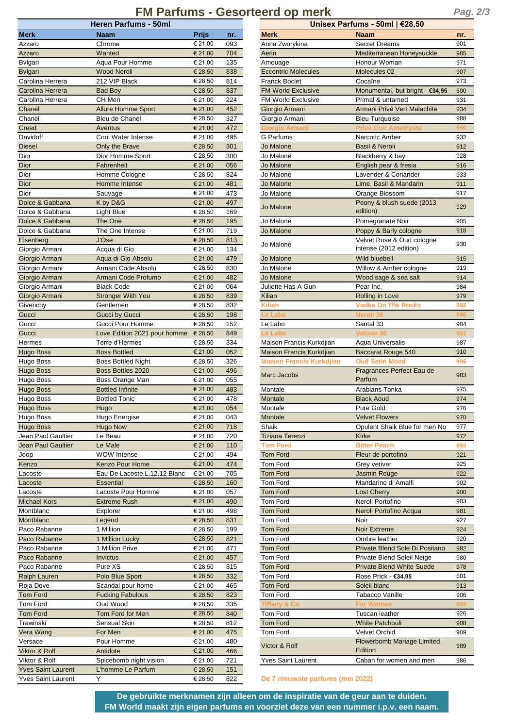# **FM Parfums - Gesorteerd op merk** *Pag. 2/3*

| <b>Heren Parfums - 50ml</b>      |                                                |                    | Unisex Parfums - 50ml   €28,50 |                                  |                                        |                 |  |
|----------------------------------|------------------------------------------------|--------------------|--------------------------------|----------------------------------|----------------------------------------|-----------------|--|
| <b>Merk</b>                      | <b>Naam</b>                                    | <b>Prijs</b>       | nr.                            | <b>Merk</b>                      | <b>Naam</b>                            | nr.             |  |
| Azzaro                           | Chrome                                         | € 21,00            | 093                            | Anna Zworykina                   | <b>Secret Dreams</b>                   | 901             |  |
| Azzaro                           | Wanted                                         | € 21,00            | 704                            | Aerin                            | Mediterranean Honeysuckle              | 985             |  |
| Bvlgari                          | Aqua Pour Homme                                | € 21,00            | 135                            | Amouage                          | Honour Woman                           | 971             |  |
| <b>B</b> vlgari                  | <b>Wood Neroli</b>                             | € 28,50            | 838                            | <b>Eccentric Molecules</b>       | Molecules 02                           | 907             |  |
| Carolina Herrera                 | 212 VIP Black                                  | € 28,50            | 814                            | <b>Franck Boclet</b>             | Cocaïne                                | 973             |  |
| Carolina Herrera                 | <b>Bad Boy</b>                                 | € 28,50            | 837                            | <b>FM World Exclusive</b>        | Monumental, but bright - €34,95        | <b>500</b>      |  |
| Carolina Herrera                 | CH Men                                         | € 21,00            | 224                            | <b>FM World Exclusive</b>        | Primal & untamed                       | 931             |  |
| Chanel                           | <b>Allure Homme Sport</b>                      | € 21,00            | 452                            | Giorgio Armani                   | Armani Privé Vert Malachite            | 934             |  |
| Chanel                           | Bleu de Chanel                                 | € 28,50            | 327                            | Giorgio Armani                   | <b>Bleu Turquoise</b>                  | 988             |  |
| Creed                            | Aventus                                        | € 21,00            | 472                            | Giorgio Armani                   | <b>Prive Cuir Amethyste</b>            |                 |  |
| Davidoff                         | Cool Water Intense                             | € 21,00            | 495                            | G Parfums                        | Narcotic Amber                         | 932             |  |
| <b>Diesel</b>                    | Only the Brave                                 | € 28,50            | 301                            | Jo Malone                        | <b>Basil &amp; Neroli</b>              | 912             |  |
| Dior                             | Dior Homme Sport                               | € 28,50            | 300                            | Jo Malone                        | Blackberry & bay                       | 928             |  |
| Dior                             | Fahrenheit                                     | € 21,00            | 056                            | Jo Malone                        | English pear & fresia                  | 916             |  |
| Dior                             | Homme Cologne                                  | € 28,50            | 824                            | Jo Malone                        | Lavender & Coriander                   | 933             |  |
| <b>Dior</b>                      | Homme Intense                                  | € 21,00            | 481                            | Jo Malone                        | Lime, Basil & Mandarin                 | 911             |  |
| Dior<br>Dolce & Gabbana          | Sauvage                                        | € 21,00            | 473<br>497                     | Jo Malone                        | Orange Blossom                         | 917             |  |
| Dolce & Gabbana                  | K by D&G                                       | € 21,00<br>€ 28,50 | 169                            | Jo Malone                        | Peony & blush suede (2013<br>edition)  | 929             |  |
| Dolce & Gabbana                  | Light Blue<br>The One                          | € 28,50            | 195                            | Jo Malone                        | Pomegranate Noir                       | 905             |  |
| Dolce & Gabbana                  | The One Intense                                | € 21,00            | 719                            | Jo Malone                        | Poppy & Barly cologne                  | 918             |  |
|                                  | J'Ose                                          | € 28,50            | 813                            |                                  | Velvet Rose & Oud cologne              |                 |  |
| Eisenberg<br>Giorgio Armani      | Acqua di Gio                                   | € 21,00            | 134                            | Jo Malone                        | intense (2012 edition)                 | 930             |  |
| Giorgio Armani                   | Aqua di Gio Absolu                             |                    | 479                            | Jo Malone                        | <b>Wild bluebell</b>                   | 915             |  |
|                                  | Armani Code Absolu                             | € 21,00            | 830                            | Jo Malone                        | Willow & Amber cologne                 | 919             |  |
| Giorgio Armani                   | Armani Code Profumo                            | € 28,50            | 482                            | Jo Malone                        |                                        | 914             |  |
| Giorgio Armani                   |                                                | € 21,00            |                                |                                  | Wood sage & sea salt                   | 984             |  |
| Giorgio Armani<br>Giorgio Armani | <b>Black Code</b><br><b>Stronger With You</b>  | € 21,00<br>€ 28,50 | 064<br>839                     | Juliette Has A Gun<br>Kilian     | Pear Inc.<br>Rolling in Love           | 979             |  |
|                                  |                                                |                    |                                |                                  |                                        |                 |  |
| Givenchy                         | Gentlemen                                      | € 28,50            | 832                            | <b>Kilian</b><br>e Labo          | <b>Vodka On The Rocks</b><br>Neroli 36 | 992             |  |
| Gucci<br>Gucci                   | <b>Gucci by Gucci</b>                          | € 28,50            | 198<br>152                     | Le Labo                          |                                        |                 |  |
| Gucci                            | Gucci Pour Homme                               | € 28,50<br>€ 28,50 | 849                            | Le Labo                          | Santal 33<br><b>Vetiver 46</b>         | 904             |  |
| Hermes                           | Love Edition 2021 pour homme<br>Terre d'Hermes | € 28,50            | 334                            | Maison Francis Kurkdjian         | Aqua Universalis                       | 987             |  |
| Hugo Boss                        | <b>Boss Bottled</b>                            | € 21,00            | 052                            | Maison Francis Kurkdjian         | Baccarat Rouge 540                     | 91 <sub>C</sub> |  |
| Hugo Boss                        | <b>Boss Bottled Night</b>                      | € 28,50            | 326                            | <b>Maison Francis Kurkdjian</b>  | <b>Oud Satin Mood</b>                  | 995             |  |
| <b>Hugo Boss</b>                 | <b>Boss Bottles 2020</b>                       | € 21,00            | 496                            |                                  | Fragrances Perfect Eau de              |                 |  |
| Hugo Boss                        | Boss Orange Man                                | € 21,00            | 055                            | Marc Jacobs                      | Parfum                                 | 983             |  |
| <b>Hugo Boss</b>                 | <b>Bottled Infinite</b>                        | € 21,00            | 483                            | Montale                          | Arabians Tonka                         | 975             |  |
| Hugo Boss                        | <b>Bottled Tonic</b>                           | € 21,00            | 478                            | Montale                          | <b>Black Aoud</b>                      | 974             |  |
| <b>Hugo Boss</b>                 | Hugo                                           | € 21,00            | 054                            | Montale                          | Pure Gold                              | 976             |  |
| Hugo Boss                        | Hugo Energise                                  | € 21,00            | 043                            | Montale                          | <b>Velvet Flowers</b>                  | 97 <sub>C</sub> |  |
| <b>Hugo Boss</b>                 | Hugo Now                                       | € 21,00            | 718                            | Shaik                            | Opulent Shaik Blue for men No          | 977             |  |
| Jean Paul Gaultier               | Le Beau                                        | € 21,00            | 720                            | <b>Tiziana Terenzi</b>           | Kirke                                  | 972             |  |
| <b>Jean Paul Gaultier</b>        | Le Male                                        | € 21,00            | 110                            | Tom Ford                         | <b>Bitter Peach</b>                    | 993             |  |
| Joop                             | <b>WOW Intense</b>                             | € 21,00            | 494                            | <b>Tom Ford</b>                  | Fleur de portofino                     | 921             |  |
| Kenzo                            | <b>Kenzo Pour Home</b>                         | € 21,00            | 474                            | Tom Ford                         | Grey vetiver                           | 925             |  |
| Lacoste                          | Eau De Lacoste L.12.12 Blanc                   | € 21,00            | 705                            | <b>Tom Ford</b>                  | Jasmin Rouge                           | 922             |  |
| Lacoste                          | <b>Essential</b>                               | € 28,50            | 160                            | <b>Tom Ford</b>                  | Mandarino di Amalfi                    | 902             |  |
| Lacoste                          | Lacoste Pour Homme                             | € 21,00            | 057                            | <b>Tom Ford</b>                  | <b>Lost Cherry</b>                     | 90 <sub>C</sub> |  |
| <b>Michael Kors</b>              | <b>Extreme Rush</b>                            | € 21,00            | 490                            | Tom Ford                         | Neroli Portofino                       | 903             |  |
| Montblanc                        | Explorer                                       | € 21,00            | 498                            | <b>Tom Ford</b>                  | Neroli Portofino Acqua                 | 981             |  |
| Montblanc                        | Legend                                         | € 28,50            | 831                            | Tom Ford                         | Noir                                   | 927             |  |
| Paco Rabanne                     | 1 Million                                      | € 28,50            | 199                            | <b>Tom Ford</b>                  | Noir Extreme                           | 924             |  |
| Paco Rabanne                     | 1 Million Lucky                                | € 28,50            | 821                            | Tom Ford                         | Ombre leather                          | 920             |  |
| Paco Rabanne                     | 1 Million Prive                                | € 21,00            | 471                            | <b>Tom Ford</b>                  | Private Blend Sole Di Positano         | 982             |  |
| Paco Rabanne                     | <b>Invictus</b>                                | € 21,00            | 457                            | <b>Tom Ford</b>                  | Private Blend Soleil Neige             | 98C             |  |
| Paco Rabanne                     | Pure XS                                        | € 28,50            | 815                            | <b>Tom Ford</b>                  | <b>Private Blend White Suede</b>       | 978             |  |
| Ralph Lauren                     | Polo Blue Sport                                | € 28,50            | 332                            | Tom Ford                         | Rose Prick - €34,95                    | 501             |  |
| Roja Dove                        | Scandal pour home                              | € 21,00            | 465                            | <b>Tom Ford</b>                  | Soleil blanc                           | 913             |  |
| Tom Ford                         | <b>Fucking Fabulous</b>                        | € 28,50            | 823                            | Tom Ford                         | <b>Tabacco Vanille</b>                 | 906             |  |
| Tom Ford                         | Oud Wood                                       | € 28,50            | 335                            | Tiffany & Co                     | <b>For Women</b>                       | 994             |  |
| <b>Tom Ford</b>                  | Tom Ford for Men                               | € 28,50            | 840                            | Tom Ford                         | Tuscan leather                         | 926             |  |
| Trawinski                        | Sensual Skin                                   | € 28,50            | 812                            | <b>Tom Ford</b>                  | <b>White Patchouli</b>                 | 908             |  |
| Vera Wang                        | For Men                                        | € 21,00            | 475                            | Tom Ford                         | <b>Velvet Orchid</b>                   | 909             |  |
| Versace                          | Pour Homme                                     | € 21,00            | 480                            |                                  | Flowerbomb Mariage Limited             |                 |  |
| Viktor & Rolf                    | Antidote                                       | € 21,00            | 466                            | Victor & Rolf                    | Edition                                | 989             |  |
| Viktor & Rolf                    | Spicebomb night vision                         | € 21,00            | 721                            | <b>Yves Saint Laurent</b>        | Caban for women and men                | 986             |  |
| <b>Yves Saint Laurent</b>        | L'homme Le Parfum                              | € 28,50            | 151                            |                                  |                                        |                 |  |
| <b>Yves Saint Laurent</b>        | Υ                                              | € 28,50            | 822                            | De 7 nieuwste parfums (mei 2022) |                                        |                 |  |

| Unisex Parfums - 50ml   €28,50  |                                        |     |  |  |  |
|---------------------------------|----------------------------------------|-----|--|--|--|
| <b>Merk</b>                     | Naam                                   | nr. |  |  |  |
| Anna Zworykina                  | <b>Secret Dreams</b>                   | 901 |  |  |  |
| Aerin                           | Mediterranean Honeysuckle              | 985 |  |  |  |
| Amouage                         | Honour Woman                           | 971 |  |  |  |
| <b>Eccentric Molecules</b>      | Molecules 02                           | 907 |  |  |  |
| <b>Franck Boclet</b>            | Cocaïne                                | 973 |  |  |  |
| <b>FM World Exclusive</b>       | Monumental, but bright - €34,95        | 500 |  |  |  |
| <b>FM World Exclusive</b>       | Primal & untamed                       | 931 |  |  |  |
| Giorgio Armani                  | Armani Privé Vert Malachite            | 934 |  |  |  |
| Giorgio Armani                  | <b>Bleu Turquoise</b>                  | 988 |  |  |  |
|                                 | rive Cuir A                            | 990 |  |  |  |
| <b>G</b> Parfums                | Narcotic Amber                         | 932 |  |  |  |
| Jo Malone                       | <b>Basil &amp; Neroli</b>              | 912 |  |  |  |
| Jo Malone                       | Blackberry & bay                       | 928 |  |  |  |
| Jo Malone                       | English pear & fresia                  | 916 |  |  |  |
| Jo Malone                       | Lavender & Coriander                   | 933 |  |  |  |
| Jo Malone                       | Lime, Basil & Mandarin                 | 911 |  |  |  |
| Jo Malone                       | Orange Blossom                         | 917 |  |  |  |
| Jo Malone                       | Peony & blush suede (2013)<br>edition) | 929 |  |  |  |
| Jo Malone                       | Pomegranate Noir                       | 905 |  |  |  |
| Jo Malone                       | Poppy & Barly cologne                  | 918 |  |  |  |
| Jo Malone                       | Velvet Rose & Oud cologne              | 930 |  |  |  |
|                                 | intense (2012 edition)                 |     |  |  |  |
| Jo Malone                       | <b>Wild bluebell</b>                   | 915 |  |  |  |
| Jo Malone                       | Willow & Amber cologne                 | 919 |  |  |  |
| Jo Malone                       | Wood sage & sea salt                   | 914 |  |  |  |
| Juliette Has A Gun              | Pear Inc.                              | 984 |  |  |  |
| Kilian                          | Rolling in Love                        | 979 |  |  |  |
| <b>Kilian</b>                   | <b>Vodka On The Rocks</b>              | 992 |  |  |  |
|                                 | veroli i                               | 996 |  |  |  |
| Le Labo                         | Santal 33                              | 904 |  |  |  |
|                                 |                                        |     |  |  |  |
| Maison Francis Kurkdjian        | Aqua Universalis                       | 987 |  |  |  |
| Maison Francis Kurkdjian        | Baccarat Rouge 540                     | 910 |  |  |  |
| <b>Maison Francis Kurkdjian</b> | <b>Oud Satin Mood</b>                  | 995 |  |  |  |
| <b>Marc Jacobs</b>              | Fragrances Perfect Eau de<br>Parfum    | 983 |  |  |  |
| Montale                         | Arabians Tonka                         | 975 |  |  |  |
| Montale                         | <b>Black Aoud</b>                      | 974 |  |  |  |
| Montale                         | Pure Gold                              | 976 |  |  |  |
| Montale                         | <b>Velvet Flowers</b>                  | 970 |  |  |  |
| Shaik                           | Opulent Shaik Blue for men No          | 977 |  |  |  |
| <b>Tiziana Terenzi</b>          | Kirke                                  | 972 |  |  |  |
| <b>Tom Ford</b>                 | <b>Bitter Peach</b>                    | 993 |  |  |  |
| <b>Tom Ford</b>                 | Fleur de portofino                     | 921 |  |  |  |
| <b>Tom Ford</b>                 | Grey vetiver                           | 925 |  |  |  |
| <b>Tom Ford</b>                 | <b>Jasmin Rouge</b>                    | 922 |  |  |  |
| Tom Ford                        | Mandarino di Amalfi                    | 902 |  |  |  |
| <b>Tom Ford</b>                 | <b>Lost Cherry</b>                     | 900 |  |  |  |
| Tom Ford                        | Neroli Portofino                       | 903 |  |  |  |
| <b>Tom Ford</b>                 | Neroli Portofino Acqua                 | 981 |  |  |  |
| Tom Ford                        | Noir                                   | 927 |  |  |  |
| <b>Tom Ford</b>                 | Noir Extreme                           | 924 |  |  |  |
| <b>Tom Ford</b>                 | Ombre leather                          | 920 |  |  |  |
| <b>Tom Ford</b>                 | Private Blend Sole Di Positano         | 982 |  |  |  |
| <b>Tom Ford</b>                 | Private Blend Soleil Neige             | 980 |  |  |  |
| <b>Tom Ford</b>                 | <b>Private Blend White Suede</b>       | 978 |  |  |  |
| Tom Ford                        | Rose Prick - €34,95                    | 501 |  |  |  |
| <b>Tom Ford</b>                 | Soleil blanc                           | 913 |  |  |  |
| <b>Tom Ford</b>                 | Tabacco Vanille                        | 906 |  |  |  |
| <b>Tiffany &amp; Co</b>         | For Women                              | 994 |  |  |  |
| Tom Ford                        | Tuscan leather                         | 926 |  |  |  |
| <b>Tom Ford</b>                 | White Patchouli                        | 908 |  |  |  |
| Tom Ford                        | <b>Velvet Orchid</b>                   | 909 |  |  |  |
| Victor & Rolf                   | <b>Flowerbomb Mariage Limited</b>      | 989 |  |  |  |
|                                 | Edition                                |     |  |  |  |
| <b>Yves Saint Laurent</b>       | Caban for women and men                | 986 |  |  |  |

**De 7 nieuwste parfums (mei 2022)**

**De gebruikte merknamen zijn alleen om de inspiratie van de geur aan te duiden. FM World maakt zijn eigen parfums en voorziet deze van een nummer i.p.v. een naam.**